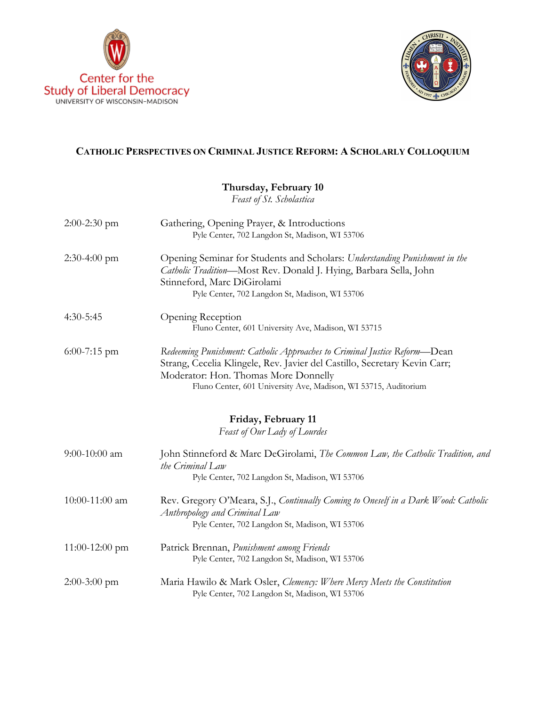



# **CATHOLIC PERSPECTIVES ON CRIMINAL JUSTICE REFORM: A SCHOLARLY COLLOQUIUM**

## **Thursday, February 10**

*Feast of St. Scholastica*

| $2:00-2:30$ pm   | Gathering, Opening Prayer, & Introductions<br>Pyle Center, 702 Langdon St, Madison, WI 53706                                                                                                                                                                      |
|------------------|-------------------------------------------------------------------------------------------------------------------------------------------------------------------------------------------------------------------------------------------------------------------|
| $2:30-4:00$ pm   | Opening Seminar for Students and Scholars: Understanding Punishment in the<br>Catholic Tradition-Most Rev. Donald J. Hying, Barbara Sella, John<br>Stinneford, Marc DiGirolami<br>Pyle Center, 702 Langdon St, Madison, WI 53706                                  |
| $4:30-5:45$      | Opening Reception<br>Fluno Center, 601 University Ave, Madison, WI 53715                                                                                                                                                                                          |
| $6:00-7:15$ pm   | Redeeming Punishment: Catholic Approaches to Criminal Justice Reform-Dean<br>Strang, Cecelia Klingele, Rev. Javier del Castillo, Secretary Kevin Carr;<br>Moderator: Hon. Thomas More Donnelly<br>Fluno Center, 601 University Ave, Madison, WI 53715, Auditorium |
|                  | Friday, February 11<br>Feast of Our Lady of Lourdes                                                                                                                                                                                                               |
| $9:00-10:00$ am  | John Stinneford & Marc DeGirolami, The Common Law, the Catholic Tradition, and<br>the Criminal Law<br>Pyle Center, 702 Langdon St, Madison, WI 53706                                                                                                              |
| 10:00-11:00 am   | Rev. Gregory O'Meara, S.J., Continually Coming to Oneself in a Dark Wood: Catholic<br>Anthropology and Criminal Law<br>Pyle Center, 702 Langdon St, Madison, WI 53706                                                                                             |
| $11:00-12:00$ pm | Patrick Brennan, Punishment among Friends<br>Pyle Center, 702 Langdon St, Madison, WI 53706                                                                                                                                                                       |
| $2:00-3:00$ pm   | Maria Hawilo & Mark Osler, Clemency: Where Mercy Meets the Constitution<br>Pyle Center, 702 Langdon St, Madison, WI 53706                                                                                                                                         |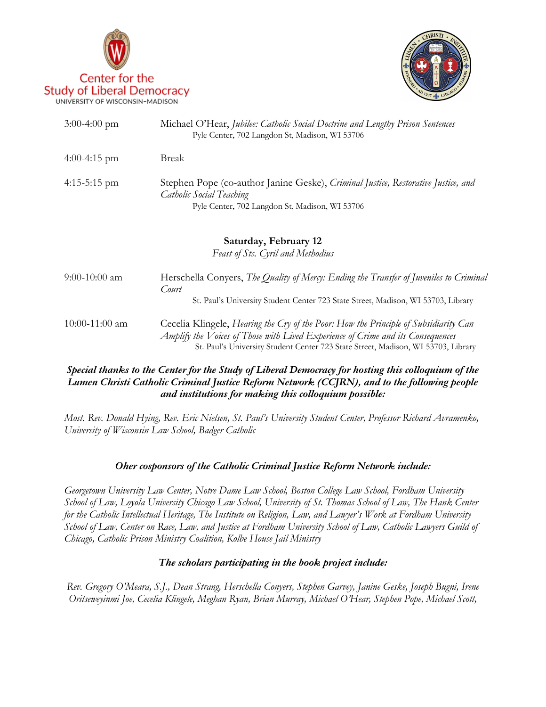



| $3:00-4:00$ pm   | Michael O'Hear, Jubilee: Catholic Social Doctrine and Lengthy Prison Sentences<br>Pyle Center, 702 Langdon St, Madison, WI 53706                                                                                                                             |
|------------------|--------------------------------------------------------------------------------------------------------------------------------------------------------------------------------------------------------------------------------------------------------------|
| $4:00-4:15$ pm   | <b>Break</b>                                                                                                                                                                                                                                                 |
| $4:15-5:15$ pm   | Stephen Pope (co-author Janine Geske), Criminal Justice, Restorative Justice, and<br>Catholic Social Teaching<br>Pyle Center, 702 Langdon St, Madison, WI 53706                                                                                              |
|                  | Saturday, February 12<br>Feast of Sts. Cyril and Methodius                                                                                                                                                                                                   |
| $9:00-10:00$ am  | Herschella Conyers, The Quality of Mercy: Ending the Transfer of Juveniles to Criminal<br>Court<br>St. Paul's University Student Center 723 State Street, Madison, WI 53703, Library                                                                         |
| $10:00-11:00$ am | Cecelia Klingele, Hearing the Cry of the Poor: How the Principle of Subsidiarity Can<br>Amplify the Voices of Those with Lived Experience of Crime and its Consequences<br>St. Paul's University Student Center 723 State Street, Madison, WI 53703, Library |

## *Special thanks to the Center for the Study of Liberal Democracy for hosting this colloquium of the Lumen Christi Catholic Criminal Justice Reform Network (CCJRN), and to the following people and institutions for making this colloquium possible:*

*Most. Rev. Donald Hying, Rev. Eric Nielsen, St. Paul's University Student Center, Professor Richard Avramenko, University of Wisconsin Law School, Badger Catholic*

## *Oher cosponsors of the Catholic Criminal Justice Reform Network include:*

*Georgetown University Law Center, Notre Dame Law School, Boston College Law School, Fordham University School of Law, Loyola University Chicago Law School, University of St. Thomas School of Law, The Hank Center for the Catholic Intellectual Heritage, The Institute on Religion, Law, and Lawyer's Work at Fordham University School of Law, Center on Race, Law, and Justice at Fordham University School of Law, Catholic Lawyers Guild of Chicago, Catholic Prison Ministry Coalition, Kolbe House Jail Ministry*

#### *The scholars participating in the book project include:*

*Rev. Gregory O'Meara, S.J., Dean Strang, Herschella Conyers, Stephen Garvey, Janine Geske, Joseph Bugni, Irene Oritseweyinmi Joe, Cecelia Klingele, Meghan Ryan, Brian Murray, Michael O'Hear, Stephen Pope, Michael Scott,*